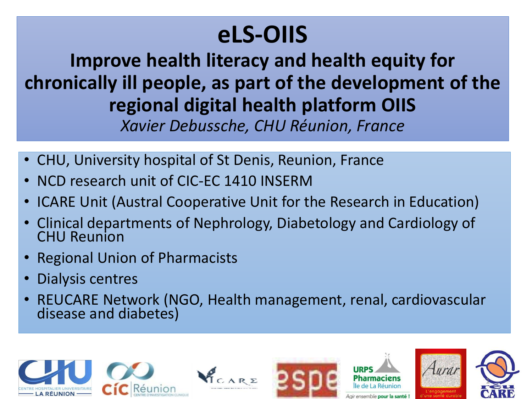### **eLS-OIIS**

**Improve health literacy and health equity for chronically ill people, as part of the development of the regional digital health platform OIIS**

*Xavier Debussche, CHU Réunion, France*

- CHU, University hospital of St Denis, Reunion, France
- NCD research unit of CIC-EC 1410 INSERM
- ICARE Unit (Austral Cooperative Unit for the Research in Education)
- Clinical departments of Nephrology, Diabetology and Cardiology of CHU Reunion
- Regional Union of Pharmacists
- Dialysis centres
- REUCARE Network (NGO, Health management, renal, cardiovascular disease and diabetes)

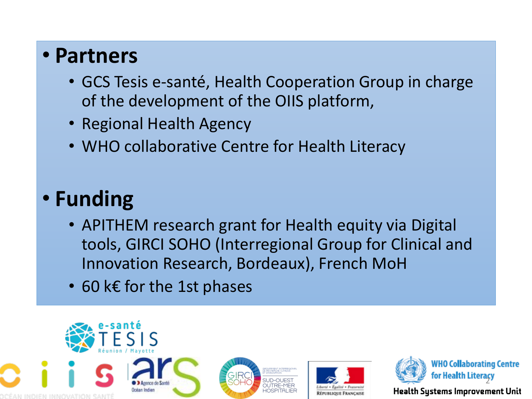#### • **Partners**

- GCS Tesis e-santé, Health Cooperation Group in charge of the development of the OIIS platform,
- Regional Health Agency
- WHO collaborative Centre for Health Literacy

#### • **Funding**

- APITHEM research grant for Health equity via Digital tools, GIRCI SOHO (Interregional Group for Clinical and Innovation Research, Bordeaux), French MoH
- 60 k€ for the 1st phases







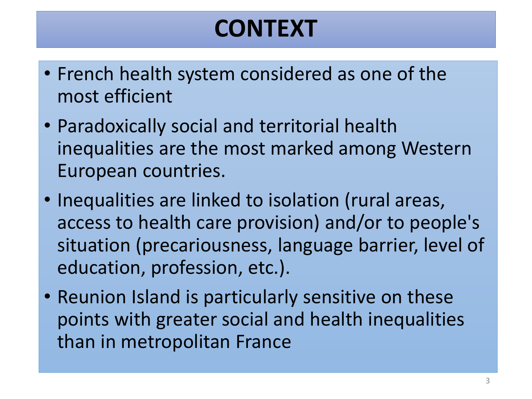### **CONTEXT**

- French health system considered as one of the most efficient
- Paradoxically social and territorial health inequalities are the most marked among Western European countries.
- Inequalities are linked to isolation (rural areas, access to health care provision) and/or to people's situation (precariousness, language barrier, level of education, profession, etc.).
- Reunion Island is particularly sensitive on these points with greater social and health inequalities than in metropolitan France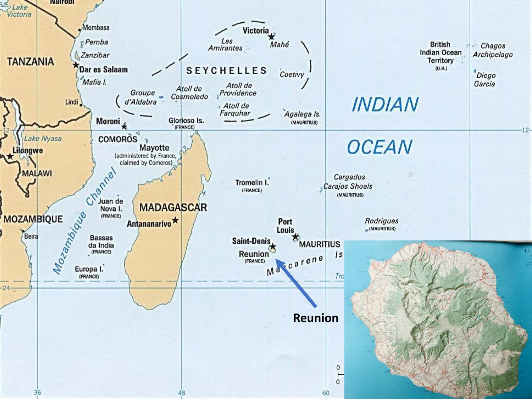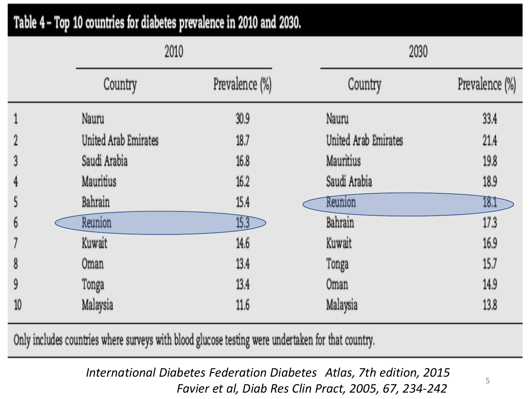| Table 4 – Top 10 countries for diabetes prevalence in 2010 and 2030. |                      |                |                      |                |
|----------------------------------------------------------------------|----------------------|----------------|----------------------|----------------|
|                                                                      | 2010                 |                | 2030                 |                |
|                                                                      | Country              | Prevalence (%) | Country              | Prevalence (%) |
|                                                                      | Nauru                | 30.9           | Nauru                | 33.4           |
| 2                                                                    | United Arab Emirates | 18.7           | United Arab Emirates | 21.4           |
| 3                                                                    | Saudi Arabia         | 16.8           | Mauritius            | 19.8           |
| 4                                                                    | Mauritius            | 16.2           | Saudi Arabia         | 18.9           |
| 5                                                                    | Bahrain              | 15.4           | Reunion              | 18.1           |
| 6                                                                    | Reunion              | 15.3           | Bahrain              | 17.3           |
|                                                                      | Kuwait               | 14.6           | Kuwait               | 16.9           |
| 8                                                                    | 0 <sub>m</sub> an    | 13.4           | Tonga                | 15.7           |
| 9                                                                    | Tonga                | 13.4           | <b>Oman</b>          | 14.9           |
| 10                                                                   | Malaysia             | 11.6           | Malaysia             | 13.8           |

Only includes countries where surveys with blood glucose testing were undertaken for that country.

*International Diabetes Federation Diabetes Atlas, 7th edition, 2015 Favier et al, Diab Res Clin Pract, 2005, 67, 234-242*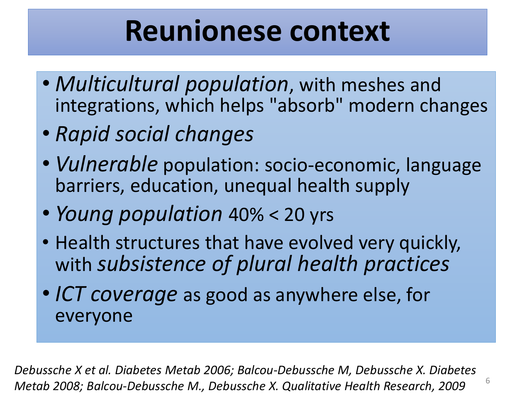## **Reunionese context**

- *Multicultural population*, with meshes and integrations, which helps "absorb" modern changes
- *Rapid social changes*
- *Vulnerable* population: socio-economic, language barriers, education, unequal health supply
- *Young population* 40% < 20 yrs
- Health structures that have evolved very quickly, with *subsistence of plural health practices*
- *ICT coverage* as good as anywhere else, for everyone

*Debussche X et al. Diabetes Metab 2006; Balcou-Debussche M, Debussche X. Diabetes Metab 2008; Balcou-Debussche M., Debussche X. Qualitative Health Research, 2009*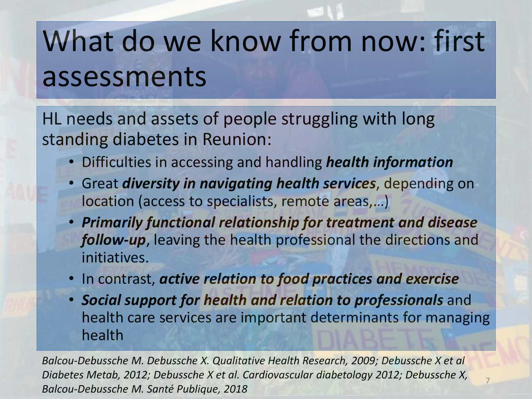# What do we know from now: first assessments

HL needs and assets of people struggling with long standing diabetes in Reunion:

- Difficulties in accessing and handling *health information*
- Great *diversity in navigating health services*, depending on location (access to specialists, remote areas,…)
- *Primarily functional relationship for treatment and disease follow-up*, leaving the health professional the directions and initiatives.
- In contrast, *active relation to food practices and exercise*
- *Social support for health and relation to professionals* and health care services are important determinants for managing health

7

*Balcou-Debussche M. Debussche X. Qualitative Health Research, 2009; Debussche X et al Diabetes Metab, 2012; Debussche X et al. Cardiovascular diabetology 2012; Debussche X, Balcou-Debussche M. Santé Publique, 2018*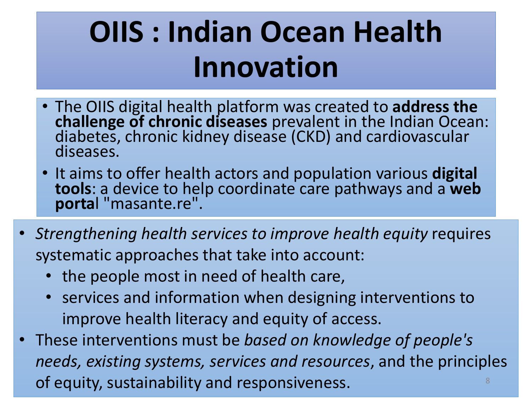# **OIIS : Indian Ocean Health Innovation**

- The OIIS digital health platform was created to **address the challenge of chronic diseases** prevalent in the Indian Ocean: diabetes, chronic kidney disease (CKD) and cardiovascular diseases.
- It aims to offer health actors and population various **digital tools**: a device to help coordinate care pathways and a **web porta**l "masante.re".
- *Strengthening health services to improve health equity* requires systematic approaches that take into account:
	- the people most in need of health care,
	- services and information when designing interventions to improve health literacy and equity of access.
- These interventions must be *based on knowledge of people's needs, existing systems, services and resources*, and the principles of equity, sustainability and responsiveness. <sup>8</sup>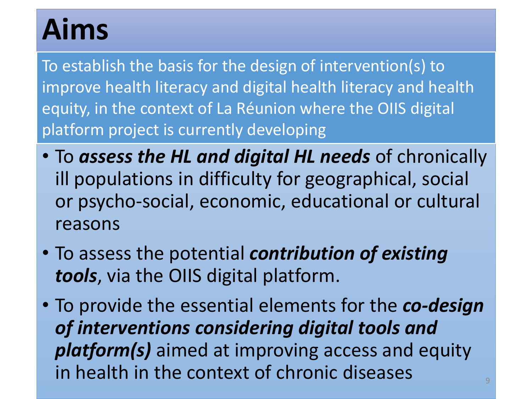## **Aims**

To establish the basis for the design of intervention(s) to improve health literacy and digital health literacy and health equity, in the context of La Réunion where the OIIS digital platform project is currently developing

- To *assess the HL and digital HL needs* of chronically ill populations in difficulty for geographical, social or psycho-social, economic, educational or cultural reasons
- To assess the potential *contribution of existing tools*, via the OIIS digital platform.
- To provide the essential elements for the *co-design of interventions considering digital tools and platform(s)* aimed at improving access and equity in health in the context of chronic diseases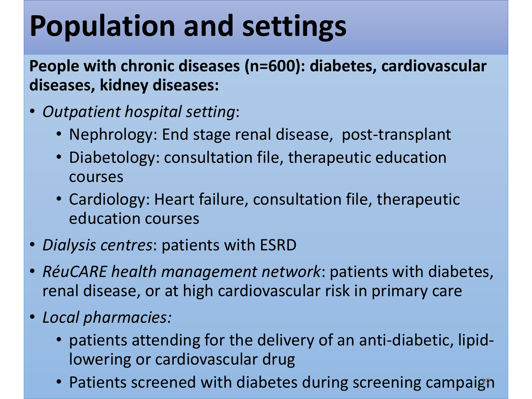# **Population and settings**

**People with chronic diseases (n=600): diabetes, cardiovascular diseases, kidney diseases:**

- *Outpatient hospital setting*:
	- Nephrology: End stage renal disease, post-transplant
	- Diabetology: consultation file, therapeutic education courses
	- Cardiology: Heart failure, consultation file, therapeutic education courses
- *Dialysis centres*: patients with ESRD
- *RéuCARE health management network*: patients with diabetes, renal disease, or at high cardiovascular risk in primary care
- *Local pharmacies:* 
	- patients attending for the delivery of an anti-diabetic, lipidlowering or cardiovascular drug
	- Patients screened with diabetes during screening campaign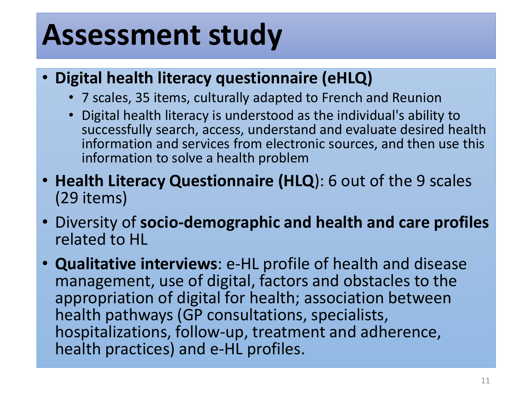## **Assessment study**

- **Digital health literacy questionnaire (eHLQ)**
	- 7 scales, 35 items, culturally adapted to French and Reunion
	- Digital health literacy is understood as the individual's ability to successfully search, access, understand and evaluate desired health information and services from electronic sources, and then use this information to solve a health problem
- **Health Literacy Questionnaire (HLQ**): 6 out of the 9 scales (29 items)
- Diversity of **socio-demographic and health and care profiles**  related to HL
- **Qualitative interviews**: e-HL profile of health and disease management, use of digital, factors and obstacles to the appropriation of digital for health; association between health pathways (GP consultations, specialists, hospitalizations, follow-up, treatment and adherence, health practices) and e-HL profiles.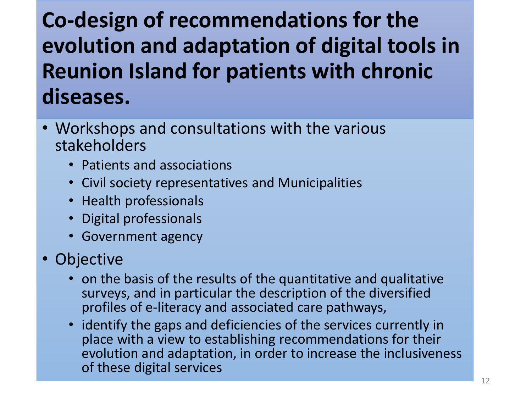#### **Co-design of recommendations for the evolution and adaptation of digital tools in Reunion Island for patients with chronic diseases.**

- Workshops and consultations with the various stakeholders
	- Patients and associations
	- Civil society representatives and Municipalities
	- Health professionals
	- Digital professionals
	- Government agency
- Objective
	- on the basis of the results of the quantitative and qualitative surveys, and in particular the description of the diversified profiles of e-literacy and associated care pathways,
	- identify the gaps and deficiencies of the services currently in place with a view to establishing recommendations for their evolution and adaptation, in order to increase the inclusiveness of these digital services